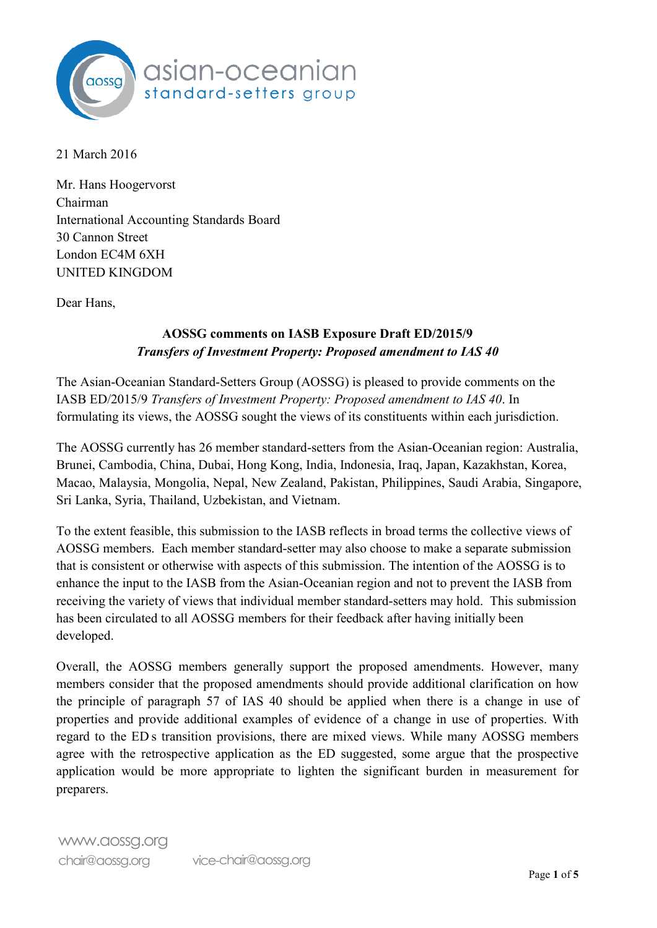

21 March 2016

 Mr. Hans Hoogervorst Chairman Chairman<br>International Accounting Standards Board 30 Cannon Street London EC4M 6XH UNITED KINGDOM

Dear Hans,

# AOSSG comments on IASB Exposure Draft ED/2015/9 Transfers of Investment Property: Proposed amendment to IAS 40

The Asian-Oceanian Standard-Setters Group (AOSSG) is pleased to provide comments on the IASB ED/2015/9 Transfers of Investment Property: Proposed amendment to IAS 40. In formulating its views, the AOSSG sought the views of its constituents within each jurisdiction.

formulating its views, the AOSSG sought the views of its constituents within each jurisdiction.<br>The AOSSG currently has 26 member standard-setters from the Asian-Oceanian region: Australia, Brunei, Cambodia, China, Dubai, Hong Kong, India, Indonesia, Iraq, Japan, Kazakhstan, Korea, Malaysia, Mongolia, Nepal, New Zealand, Pakistan, Philippines, Saudi Arabia, Singapore, Cambodia, China<br>Malaysia, Mongc<br>ka, Syria, Thailan<br>extent feasible, thi<br>Frembers. Each Sri Lanka, Syria, Thailand, Uzbekistan, and Vietnam. Brunei, Cambodia, China, Dubai, Hong Kong, India, Indonesia, Iraq, Japan, Kaza<br>Macao, Malaysia, Mongolia, Nepal, New Zealand, Pakistan, Philippines, Saudi A<br>Sri Lanka, Syria, Thailand, Uzbekistan, and Vietnam. Macao, Malaysia, Mongolia, Nepal, New Zealand, Pakistan, Philippines, Saudi Arabia, Singapore,

To the extent feasible, this submission to the IASB reflects in broad terms the collective views of AOSSG members. Each member standard-setter may also choose to make a separate submission that is consistent or otherwise with aspects of this submission. The intention of the AOSSG is to that is consistent or otherwise with aspects of this submission. The intention of the AOSSG is to enhance the input to the IASB from the Asian-Oceanian region and not to prevent the IASB from receiving the variety of views that individual member standard-setters may hold. This submission developed. the variety of<br>circulated to<br>d.<br>the AOSSG has been circulated to all AOSSG members for their feedback after having initially been

the AOSSG members generally support the proposed amendments members consider that the proposed amendments should provide additional clarification on how the principle of paragraph 57 of IAS 40 should be applied when there is a change in use of and provide additional examples of evidence of a change in use of properties. regard to the ED s transition provisions, there are mixed views. While many AOSSG members application would be more appropriate to lighten the significant burden in measurement for to the ED s transition provisions,<br>with the retrospective application<br>ation would be more appropriate agree with the retrospective application as the ED suggested, some argue that the prospective has been circulated to all AOSSG members for their feedback after having initially<br>developed.<br>Overall, the AOSSG members generally support the proposed amendments. H<br>members consider that the proposed amendments should pro the principle of paragraph 57 of IAS 40 should be applied when there is a c<br>properties and provide additional examples of evidence of a change in use of<br>regard to the ED's transition provisions, there are mixed views. Whil developed.<br>Overall, the AOSSG members generally support the proposed amendments. However, many properties and provide additional examples of evidence of a change in use of properties. With preparers.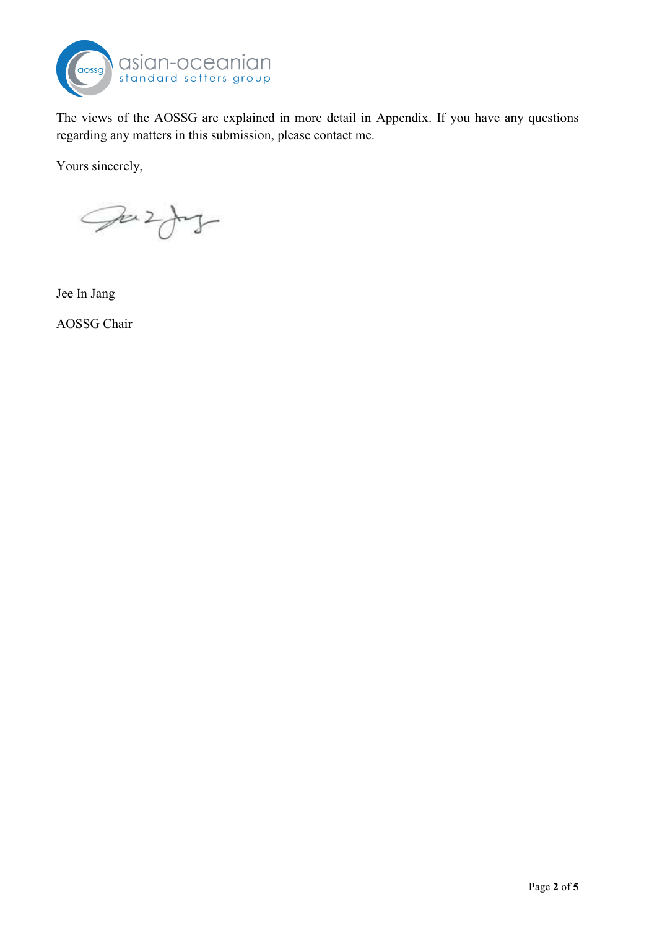

The views of the AOSSG are explained in more detail in Appendix. If you have any questions regarding any matters in this submission, please contact me.

Yours sincerely,

Juzty

Jee In Jang

AOSSG Chair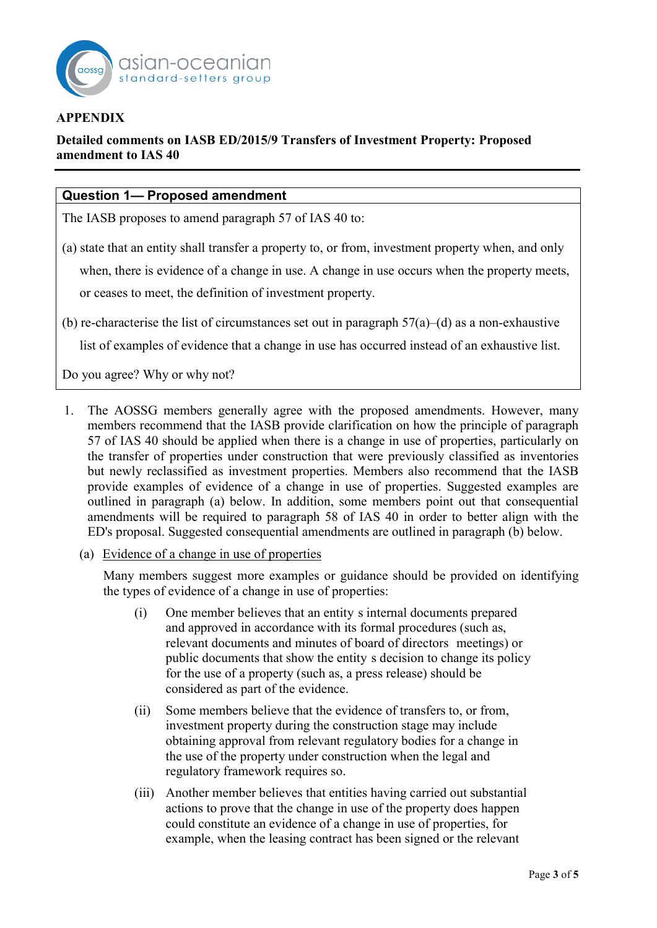

## **APPENDIX**

# APPENDIX<br>Detailed comments on IASB ED/2015/9 Transfers of Investment Property: Proposed amendment to IAS 40

## Question 1- Proposed amendment

The IASB proposes to amend paragraph 57 of IAS 40 to:

(a) state that an entity shall transfer a property to, or from, investment property when, and only when, there is evidence of a change in use. A change in use occurs when the property meets, or ceases to meet, the definition of investment property. or ceases to meet, the definition of investment property.

(b) re-characterise the list of circumstances set out in paragraph  $57(a)$ –(d) as a non-exhaustive

list of examples of evidence that a change in use has occurred instead of an exhaustive list.

Do you agree? Why or why not?

- 1. The AOSSG members generally agree with the proposed amendments. However, many members recommend that the IASB provide clarification on how the principle of paragraph 57 of IAS 40 should be applied when there is a change in use of properties, particularly on transfer of properties under construction that were previously classified as inventories but newly reclassified as investment properties. Members also recommend that the IASB provide examples of evidence of a change in use of properties. Suggested examples are outlined in paragraph (a) below. In addition, some members point out that consequential amendments will be required to paragraph 58 of IAS 40 in order to better align with the ED's proposal. Suggested consequential amendments are outlined in paragraph (b) below. 57 of IAS 40 should be applied when there is a change in use of properties, particularly on the transfer of properties under construction that were previously classified as inventories but newly reclassified as investment the transfer of properties under construction that were previously classified as inventories
	- of a change in use of properties

ED's proposal. Suggested consequential amendments are outlined in paragraph (b) below.<br>
(a) <u>Evidence of a change in use of properties</u><br>
Many members suggest more examples or guidance should be provided on identifying the types of evidence of a change in use of properties:

- and approved in accordance with its formal procedures (such as, and approved in accordance with its formal procedures (such as,<br>relevant documents and minutes of board of directors meetings) or public documents that show the entity s decision to change its policy for the use of a property (such as, a press release) should be (i) One member believes that an entity s internal documents prepared considered as part of the evidence.
- investment property during the construction stage may include obtaining approval from relevant regulatory bodies for a change in<br>the use of the property under construction when the legal and the use of the property under construction when the legal and regulatory framework requires so. (ii) Some members believe that the evidence of transfers to, or from, a<br>Et
- (iii) Another member believes that entities having carried out substantial actions to prove that the change in use of the property does happen could constitute an evidence of a change in use of properties, for example, when the leasing contract has been signed or the relevant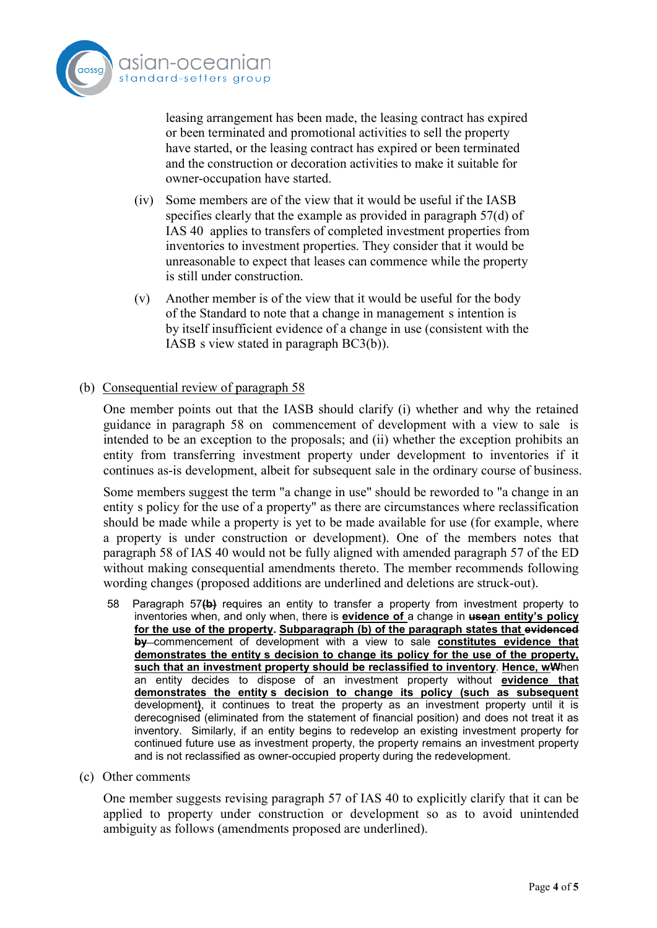

leasing arrangement has been made, the leasing contract has expired<br>or been terminated and promotional activities to sell the property<br>have started, or the leasing contract has expired or been terminated<br>and the constructi or been terminated and promotional activities to sell the property have started, or the leasing contract has expired or been terminated and the construction or decoration activities to make it suitable for owner-occupation have started.

- specifies clearly that the example as provided in paragraph  $57(d)$  of IAS 40 applies to transfers of completed investment properties from inventories to investment properties. They consider that it would be unreasonable to expect that leases can commence while the property is still under construction. (iv) Some members are of the view that it would be useful if the IASB
- $(v)$  Another member is of the view that it would be useful for the body Another member is of the view that it would be useful for the body<br>of the Standard to note that a change in management s intention is by itself insufficient evidence of a change in use (consistent with the IASB s view stated in paragraph  $BC3(b)$ ).

#### (b) Consequential review of paragraph 58

One member points out that the IASB should clarify (i) whether and why the retained guidance in paragraph 58 on commencement of development with a view to sale is intended to be an exception to the proposals; and (ii) whether the exception prohibits an entity from transferring investment property under development to inventories if it entity from transferring investment property under development to inventories if it continues as-is development, albeit for subsequent sale in the ordinary course of business.

Some members suggest the term "a change in use" should be reworded to "a change in an entity s policy for the use of a property" as there are circumstances where reclassification should be made while a property is yet to be made available for use (for example, where a property is under construction or development). One of the members notes that a property is under construction or development). One of the members notes that paragraph 58 of IAS 40 would not be fully aligned with amended paragraph 57 of the ED paragraph 58 of IAS 40 would not be fully aligned with amended paragraph 57 of the ED without making consequential amendments thereto. The member recommends following wording changes (proposed additions are underlined and deletions are struck-out).

- 58 Paragraph 57 $\{b\}$  requires an entity to transfer a property from investment property to inventories when, and only when, there is **evidence of** a change in **usean entity's policy** for the use of the property. Subparagraph (b) of the paragraph states that evidenced by commencement of development with a view to sale constitutes evidence that demonstrates the entity s decision to change its policy for the use of the property,<br>such that an investment property should be reclassified to inventory. Hence, wWhen such that an investment property should be reclassified to inventory. Hence, wWhen an entity decides to dispose of an investment property without evidence that demonstrates the entity s decision to change its policy (such as subsequent development), it continues to treat the property as an investment property until it is derecognised (eliminated from the statement of financial position) and does not treat it as inventory. Similarly, if an entity begins to redevelop an existing investment property for development), it continues to treat the property as an investment property until it is<br>derecognised (eliminated from the statement of financial position) and does not treat it as<br>inventory. Similarly, if an entity begins t and is not reclassified as owner-occupied property during the redevelopment.
- (c) Other comments

One member suggests revising paragraph 57 of IAS 40 to explicitly clarify that it can be applied to property under construction or development so as to avoid unintended ambiguity as follows (amendments proposed are underlined).